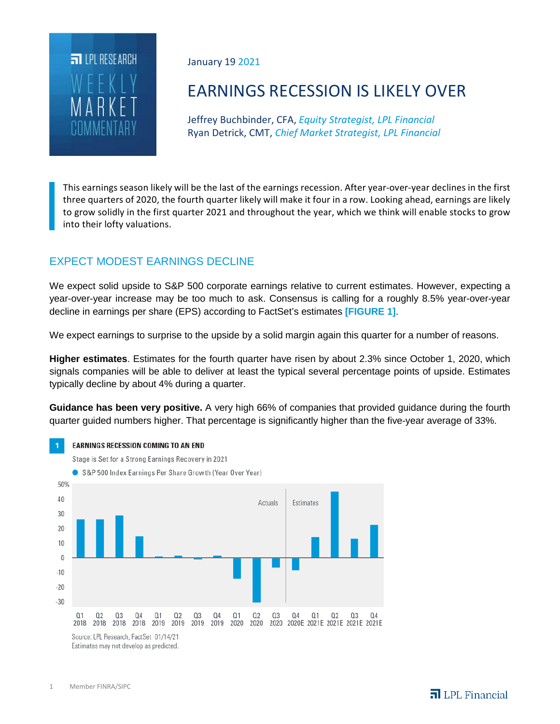

January 19 2021

# EARNINGS RECESSION IS LIKELY OVER

Jeffrey Buchbinder, CFA, *Equity Strategist, LPL Financial* Ryan Detrick, CMT, *Chief Market Strategist, LPL Financial*

This earnings season likely will be the last of the earnings recession. After year-over-year declines in the first three quarters of 2020, the fourth quarter likely will make it four in a row. Looking ahead, earnings are likely to grow solidly in the first quarter 2021 and throughout the year, which we think will enable stocks to grow into their lofty valuations.

## EXPECT MODEST EARNINGS DECLINE

We expect solid upside to S&P 500 corporate earnings relative to current estimates. However, expecting a year-over-year increase may be too much to ask. Consensus is calling for a roughly 8.5% year-over-year decline in earnings per share (EPS) according to FactSet's estimates **[FIGURE 1]**.

We expect earnings to surprise to the upside by a solid margin again this quarter for a number of reasons.

**Higher estimates**. Estimates for the fourth quarter have risen by about 2.3% since October 1, 2020, which signals companies will be able to deliver at least the typical several percentage points of upside. Estimates typically decline by about 4% during a quarter.

**Guidance has been very positive.** A very high 66% of companies that provided guidance during the fourth quarter guided numbers higher. That percentage is significantly higher than the five-year average of 33%.



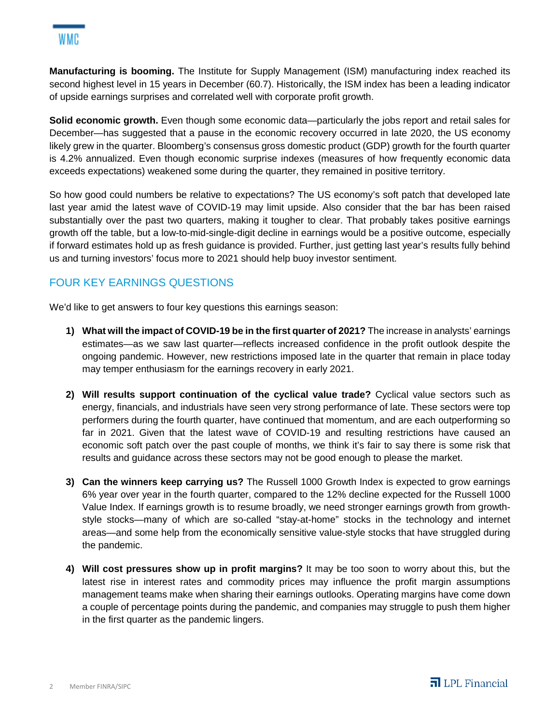**Manufacturing is booming.** The Institute for Supply Management (ISM) manufacturing index reached its second highest level in 15 years in December (60.7). Historically, the ISM index has been a leading indicator of upside earnings surprises and correlated well with corporate profit growth.

**Solid economic growth.** Even though some economic data—particularly the jobs report and retail sales for December—has suggested that a pause in the economic recovery occurred in late 2020, the US economy likely grew in the quarter. Bloomberg's consensus gross domestic product (GDP) growth for the fourth quarter is 4.2% annualized. Even though economic surprise indexes (measures of how frequently economic data exceeds expectations) weakened some during the quarter, they remained in positive territory.

So how good could numbers be relative to expectations? The US economy's soft patch that developed late last year amid the latest wave of COVID-19 may limit upside. Also consider that the bar has been raised substantially over the past two quarters, making it tougher to clear. That probably takes positive earnings growth off the table, but a low-to-mid-single-digit decline in earnings would be a positive outcome, especially if forward estimates hold up as fresh guidance is provided. Further, just getting last year's results fully behind us and turning investors' focus more to 2021 should help buoy investor sentiment.

## FOUR KEY EARNINGS QUESTIONS

We'd like to get answers to four key questions this earnings season:

- **1) What will the impact of COVID-19 be in the first quarter of 2021?** The increase in analysts' earnings estimates—as we saw last quarter—reflects increased confidence in the profit outlook despite the ongoing pandemic. However, new restrictions imposed late in the quarter that remain in place today may temper enthusiasm for the earnings recovery in early 2021.
- **2) Will results support continuation of the cyclical value trade?** Cyclical value sectors such as energy, financials, and industrials have seen very strong performance of late. These sectors were top performers during the fourth quarter, have continued that momentum, and are each outperforming so far in 2021. Given that the latest wave of COVID-19 and resulting restrictions have caused an economic soft patch over the past couple of months, we think it's fair to say there is some risk that results and guidance across these sectors may not be good enough to please the market.
- **3) Can the winners keep carrying us?** The Russell 1000 Growth Index is expected to grow earnings 6% year over year in the fourth quarter, compared to the 12% decline expected for the Russell 1000 Value Index. If earnings growth is to resume broadly, we need stronger earnings growth from growthstyle stocks—many of which are so-called "stay-at-home" stocks in the technology and internet areas—and some help from the economically sensitive value-style stocks that have struggled during the pandemic.
- **4) Will cost pressures show up in profit margins?** It may be too soon to worry about this, but the latest rise in interest rates and commodity prices may influence the profit margin assumptions management teams make when sharing their earnings outlooks. Operating margins have come down a couple of percentage points during the pandemic, and companies may struggle to push them higher in the first quarter as the pandemic lingers.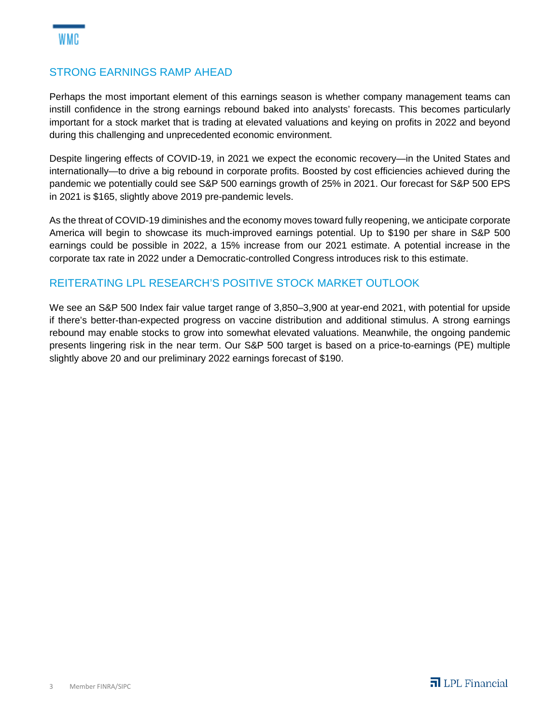#### STRONG EARNINGS RAMP AHEAD

Perhaps the most important element of this earnings season is whether company management teams can instill confidence in the strong earnings rebound baked into analysts' forecasts. This becomes particularly important for a stock market that is trading at elevated valuations and keying on profits in 2022 and beyond during this challenging and unprecedented economic environment.

Despite lingering effects of COVID-19, in 2021 we expect the economic recovery—in the United States and internationally—to drive a big rebound in corporate profits. Boosted by cost efficiencies achieved during the pandemic we potentially could see S&P 500 earnings growth of 25% in 2021. Our forecast for S&P 500 EPS in 2021 is \$165, slightly above 2019 pre-pandemic levels.

As the threat of COVID-19 diminishes and the economy moves toward fully reopening, we anticipate corporate America will begin to showcase its much-improved earnings potential. Up to \$190 per share in S&P 500 earnings could be possible in 2022, a 15% increase from our 2021 estimate. A potential increase in the corporate tax rate in 2022 under a Democratic-controlled Congress introduces risk to this estimate.

### REITERATING LPL RESEARCH'S POSITIVE STOCK MARKET OUTLOOK

We see an S&P 500 Index fair value target range of 3,850–3,900 at year-end 2021, with potential for upside if there's better-than-expected progress on vaccine distribution and additional stimulus. A strong earnings rebound may enable stocks to grow into somewhat elevated valuations. Meanwhile, the ongoing pandemic presents lingering risk in the near term. Our S&P 500 target is based on a price-to-earnings (PE) multiple slightly above 20 and our preliminary 2022 earnings forecast of \$190.